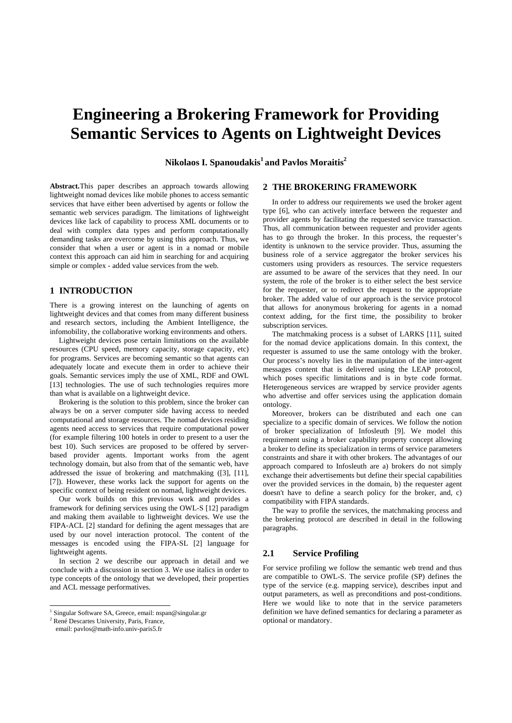# **Engineering a Brokering Framework for Providing Semantic Services to Agents on Lightweight Devices**

**Nikolaos I. Spanoudakis1 and Pavlos Moraitis2**

**Abstract.**This paper describes an approach towards allowing lightweight nomad devices like mobile phones to access semantic services that have either been advertised by agents or follow the semantic web services paradigm. The limitations of lightweight devices like lack of capability to process XML documents or to deal with complex data types and perform computationally demanding tasks are overcome by using this approach. Thus, we consider that when a user or agent is in a nomad or mobile context this approach can aid him in searching for and acquiring simple or complex - added value services from the web.

# **1 INTRODUCTION**

There is a growing interest on the launching of agents on lightweight devices and that comes from many different business and research sectors, including the Ambient Intelligence, the infomobility, the collaborative working environments and others.

Lightweight devices pose certain limitations on the available resources (CPU speed, memory capacity, storage capacity, etc) for programs. Services are becoming semantic so that agents can adequately locate and execute them in order to achieve their goals. Semantic services imply the use of XML, RDF and OWL [13] technologies. The use of such technologies requires more than what is available on a lightweight device.

Brokering is the solution to this problem, since the broker can always be on a server computer side having access to needed computational and storage resources. The nomad devices residing agents need access to services that require computational power (for example filtering 100 hotels in order to present to a user the best 10). Such services are proposed to be offered by serverbased provider agents. Important works from the agent technology domain, but also from that of the semantic web, have addressed the issue of brokering and matchmaking ([3], [11], [7]). However, these works lack the support for agents on the specific context of being resident on nomad, lightweight devices.

Our work builds on this previous work and provides a framework for defining services using the OWL-S [12] paradigm and making them available to lightweight devices. We use the FIPA-ACL [2] standard for defining the agent messages that are used by our novel interaction protocol. The content of the messages is encoded using the FIPA-SL [2] language for lightweight agents.

In section 2 we describe our approach in detail and we conclude with a discussion in section 3. We use italics in order to type concepts of the ontology that we developed, their properties and ACL message performatives.

2 René Descartes University, Paris, France,

 $\overline{a}$ 

#### **2 THE BROKERING FRAMEWORK**

In order to address our requirements we used the broker agent type [6], who can actively interface between the requester and provider agents by facilitatin*g* the requested service transaction. Thus, all communication between requester and provider agents has to go through the broker*.* In this process, the requester's identity is unknown to the service provider. Thus, assuming the business role of a service aggregator the broker services his customers using providers as resources. The service requesters are assumed to be aware of the services that they need. In our system, the role of the broker is to either select the best service for the requester, or to redirect the request to the appropriate broker. The added value of our approach is the service protocol that allows for anonymous brokering for agents in a nomad context adding, for the first time, the possibility to broker subscription services.

The matchmaking process is a subset of LARKS [11], suited for the nomad device applications domain. In this context, the requester is assumed to use the same ontology with the broker. Our process's novelty lies in the manipulation of the inter-agent messages content that is delivered using the LEAP protocol, which poses specific limitations and is in byte code format. Heterogeneous services are wrapped by service provider agents who advertise and offer services using the application domain ontology.

Moreover, brokers can be distributed and each one can specialize to a specific domain of services. We follow the notion of broker specialization of Infosleuth [9]. We model this requirement using a broker capability property concept allowing a broker to define its specialization in terms of service parameters constraints and share it with other brokers. The advantages of our approach compared to Infosleuth are a) brokers do not simply exchange their advertisements but define their special capabilities over the provided services in the domain, b) the requester agent doesn't have to define a search policy for the broker, and, c) compatibility with FIPA standards.

The way to profile the services, the matchmaking process and the brokering protocol are described in detail in the following paragraphs.

#### **2.1 Service Profiling**

For service profiling we follow the semantic web trend and thus are compatible to OWL-S. The service profile (SP) defines the type of the service (e.g. mapping service), describes input and output parameters, as well as preconditions and post-conditions. Here we would like to note that in the service parameters definition we have defined semantics for declaring a parameter as optional or mandatory.

<sup>&</sup>lt;sup>1</sup> Singular Software SA, Greece, email: nspan@singular.gr

email: pavlos@math-info.univ-paris5.fr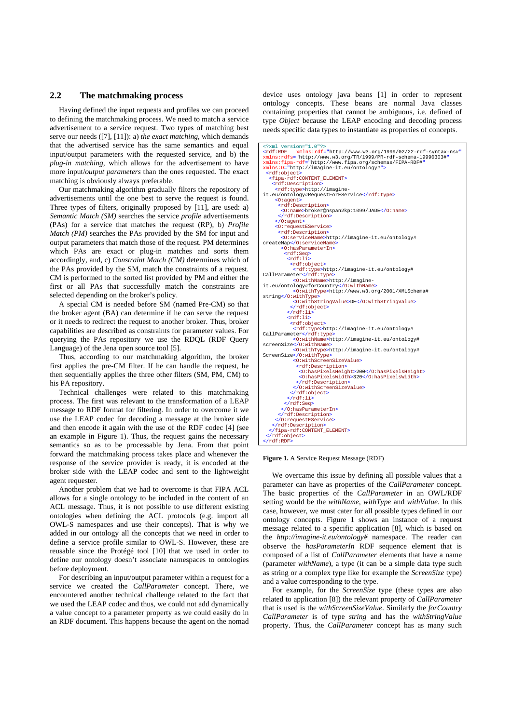# **2.2 The matchmaking process**

Having defined the input requests and profiles we can proceed to defining the matchmaking process. We need to match a service advertisement to a service request. Two types of matching best serve our needs ([7], [11]): a) *the exact matching*, which demands that the advertised service has the same semantics and equal input/output parameters with the requested service, and b) the *plug-in matching*, which allows for the advertisement to have more input/*output parameters* than the ones requested. The exact matching is obviously always preferable.

Our matchmaking algorithm gradually filters the repository of advertisements until the one best to serve the request is found. Three types of filters, originally proposed by [11], are used: a) *Semantic Match (SM)* searches the service *profile* advertisements (PAs) for a service that matches the request (RP), b) *Profile Match (PM)* searches the PAs provided by the SM for input and output parameters that match those of the request. PM determines which PAs are exact or plug-in matches and sorts them accordingly, and, c) *Constraint Match (CM)* determines which of the PAs provided by the SM, match the constraints of a request. CM is performed to the sorted list provided by PM and either the first or all PAs that successfully match the constraints are selected depending on the broker's policy.

A special CM is needed before SM (named Pre-CM) so that the broker agent (BA) can determine if he can serve the request or it needs to redirect the request to another broker. Thus, broker capabilities are described as constraints for parameter values. For querying the PAs repository we use the RDQL (RDF Query Language) of the Jena open source tool [5].

Thus, according to our matchmaking algorithm, the broker first applies the pre-CM filter. If he can handle the request, he then sequentially applies the three other filters (SM, PM, CM) to his PA repository.

Technical challenges were related to this matchmaking process. The first was relevant to the transformation of a LEAP message to RDF format for filtering. In order to overcome it we use the LEAP codec for decoding a message at the broker side and then encode it again with the use of the RDF codec [4] (see an example in Figure 1). Thus, the request gains the necessary semantics so as to be processable by Jena. From that point forward the matchmaking process takes place and whenever the response of the service provider is ready, it is encoded at the broker side with the LEAP codec and sent to the lightweight agent requester.

Another problem that we had to overcome is that FIPA ACL allows for a single ontology to be included in the content of an ACL message. Thus, it is not possible to use different existing ontologies when defining the ACL protocols (e.g. import all OWL-S namespaces and use their concepts). That is why we added in our ontology all the concepts that we need in order to define a service profile similar to OWL-S. However, these are reusable since the Protégé tool [10] that we used in order to define our ontology doesn't associate namespaces to ontologies before deployment.

For describing an input/output parameter within a request for a service we created the *CallParameter* concept. There, we encountered another technical challenge related to the fact that we used the LEAP codec and thus, we could not add dynamically a value concept to a parameter property as we could easily do in an RDF document. This happens because the agent on the nomad device uses ontology java beans [1] in order to represent ontology concepts. These beans are normal Java classes containing properties that cannot be ambiguous, i.e. defined of type *Object* because the LEAP encoding and decoding process needs specific data types to instantiate as properties of concepts.

```
<?xml version="1.0"?><br><rdf:RDF xmlns:rdf="http://www.w3.org/1999/02/22-rdf-syntax-ns#"
<rdf:RDF xmlns:rdf="http://www.w3.org/1999/02/22-rdf-syntax-ns#"
xmlns:rdfs="http://www.w3.org/TR/1999/PR-rdf-schema-19990303#"
xmlns:fipa-rdf="http://www.fipa.org/schemas/FIPA-RDF#"
xmlns:O="http://imagine-it.eu/ontology#">
<rdf:object>
 <fipa-rdf:CONTENT_ELEMENT>
 <rdf:Description>
       <rdf:type>http://imagine-
it.eu/ontology#RequestForEService</rdf:type>
 <O:agent>
 <rdf:Description>
          <O:name>broker@nspan2kp:1099/JADE</O:name>
 </rdf:Description>
 </O:agent>
       <O:requestEService>
        <rdf:Description>
          <O:serviceName>http://imagine-it.eu/ontology# 
createMap</O:serviceName>
 <O:hasParameterIn>
 <rdf:Seq>
 <rdf:li>
 <rdf:object>
 <rdf:type>http://imagine-it.eu/ontology# 
CallParameter</rdf:type>
                 <O:withName>http://imagine-
it.eu/ontology#forCountry</O:withName>
 <O:withType>http://www.w3.org/2001/XMLSchema# 
string</O:withType>
 <O:withStringValue>DE</O:withStringValue>
              </rdf:object>
 </rdf:li>
 <rdf:li>
<rdf:object><br>
<rdf:type>http://imagine-it.eu/ontology#<br>
CallParameter</rdf:type><br>
<<br>
<o:withName><br>
screenSize</O:withName><br>
screenSize</O:withName>
                <O:withType>http://imagine-it.eu/ontology# 
ScreenSize</O:withType>
 <O:withScreenSizeValue>
 <rdf:Description>
 <O:hasPixelsHeight>200</O:hasPixelsHeight>
                   <O:hasPixelsWidth>320</O:hasPixelsWidth>
                 </rdf:Description>
 </O:withScreenSizeValue>
 </rdf:object>
            \frac{1}{\sqrt{rdf}}:li>
            </rdf:Seq>
 </O:hasParameterIn>
 </rdf:Description>
       </O:requestEService>
       </rdf:Description>
    </fipa-rdf:CONTENT_ELEMENT>
   </rdf:object>
  /rdf:RDF
```
**Figure 1.** A Service Request Message (RDF)

We overcame this issue by defining all possible values that a parameter can have as properties of the *CallParameter* concept. The basic properties of the *CallParameter* in an OWL/RDF setting would be the *withName*, *withType* and *withValue*. In this case, however, we must cater for all possible types defined in our ontology concepts. Figure 1 shows an instance of a request message related to a specific application [8], which is based on the *http://imagine-it.eu/ontology#* namespace. The reader can observe the *hasParameterIn* RDF sequence element that is composed of a list of *CallParameter* elements that have a name (parameter *withName*), a type (it can be a simple data type such as string or a complex type like for example the *ScreenSize* type) and a value corresponding to the type.

For example, for the *ScreenSize* type (these types are also related to application [8]) the relevant property of *CallParameter* that is used is the *withScreenSizeValue*. Similarly the *forCountry CallParameter* is of type *string* and has the *withStringValue* property. Thus, the *CallParameter* concept has as many such